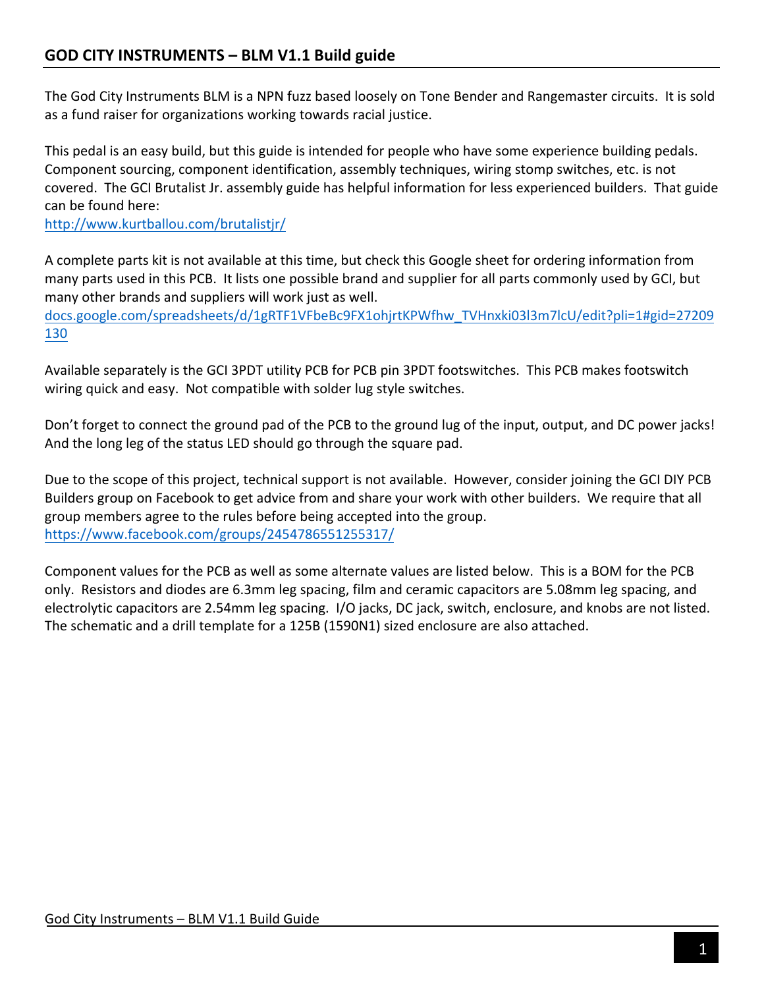The God City Instruments BLM is a NPN fuzz based loosely on Tone Bender and Rangemaster circuits. It is sold as a fund raiser for organizations working towards racial justice.

This pedal is an easy build, but this guide is intended for people who have some experience building pedals. Component sourcing, component identification, assembly techniques, wiring stomp switches, etc. is not covered. The GCI Brutalist Jr. assembly guide has helpful information for less experienced builders. That guide can be found here:

http://www.kurtballou.com/brutalistjr/

A complete parts kit is not available at this time, but check this Google sheet for ordering information from many parts used in this PCB. It lists one possible brand and supplier for all parts commonly used by GCI, but many other brands and suppliers will work just as well.

docs.google.com/spreadsheets/d/1gRTF1VFbeBc9FX1ohjrtKPWfhw\_TVHnxki03l3m7lcU/edit?pli=1#gid=27209 130

Available separately is the GCI 3PDT utility PCB for PCB pin 3PDT footswitches. This PCB makes footswitch wiring quick and easy. Not compatible with solder lug style switches.

Don't forget to connect the ground pad of the PCB to the ground lug of the input, output, and DC power jacks! And the long leg of the status LED should go through the square pad.

Due to the scope of this project, technical support is not available. However, consider joining the GCI DIY PCB Builders group on Facebook to get advice from and share your work with other builders. We require that all group members agree to the rules before being accepted into the group. https://www.facebook.com/groups/2454786551255317/

Component values for the PCB as well as some alternate values are listed below. This is a BOM for the PCB only. Resistors and diodes are 6.3mm leg spacing, film and ceramic capacitors are 5.08mm leg spacing, and electrolytic capacitors are 2.54mm leg spacing. I/O jacks, DC jack, switch, enclosure, and knobs are not listed. The schematic and a drill template for a 125B (1590N1) sized enclosure are also attached.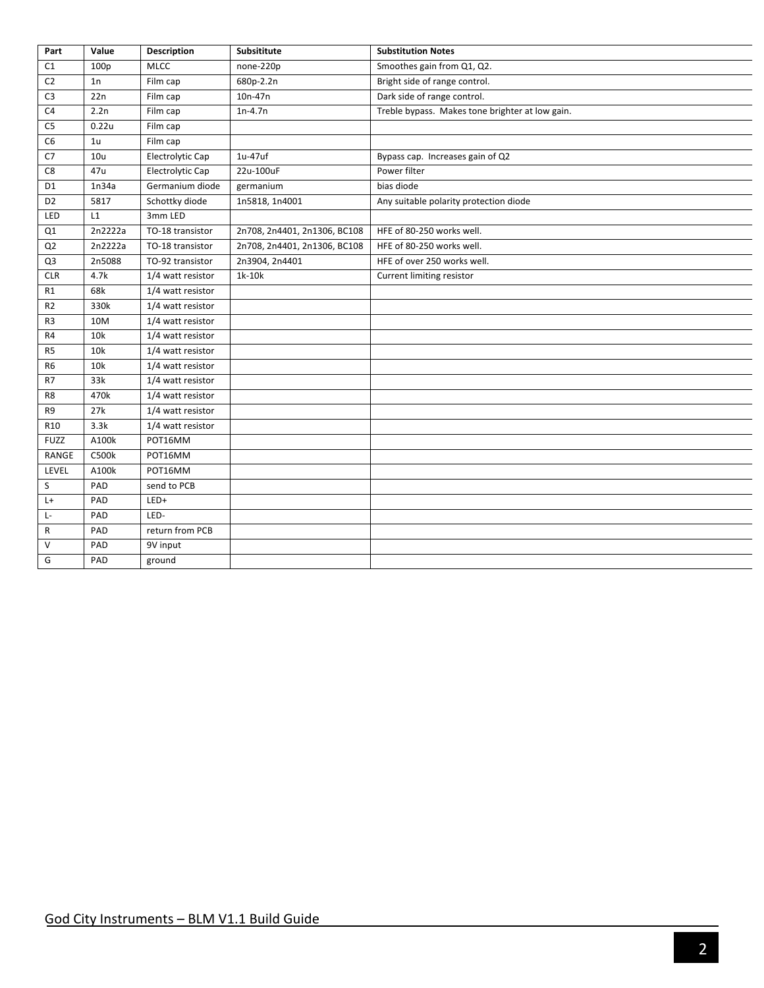| Part             | Value          | <b>Description</b> | Subsititute                  | <b>Substitution Notes</b>                       |
|------------------|----------------|--------------------|------------------------------|-------------------------------------------------|
| $\mathsf{C}1$    | 100p           | <b>MLCC</b>        | none-220p                    | Smoothes gain from Q1, Q2.                      |
| C <sub>2</sub>   | 1n             | Film cap           | 680p-2.2n                    | Bright side of range control.                   |
| C <sub>3</sub>   | 22n            | Film cap           | 10n-47n                      | Dark side of range control.                     |
| C <sub>4</sub>   | 2.2n           | Film cap           | $1n-4.7n$                    | Treble bypass. Makes tone brighter at low gain. |
| C <sub>5</sub>   | 0.22u          | Film cap           |                              |                                                 |
| C <sub>6</sub>   | 1 <sub>u</sub> | Film cap           |                              |                                                 |
| C7               | 10u            | Electrolytic Cap   | 1u-47uf                      | Bypass cap. Increases gain of Q2                |
| C8               | 47u            | Electrolytic Cap   | 22u-100uF                    | Power filter                                    |
| D <sub>1</sub>   | 1n34a          | Germanium diode    | germanium                    | bias diode                                      |
| D <sub>2</sub>   | 5817           | Schottky diode     | 1n5818, 1n4001               | Any suitable polarity protection diode          |
| LED              | L1             | 3mm LED            |                              |                                                 |
| $_{\mathsf{Q1}}$ | 2n2222a        | TO-18 transistor   | 2n708, 2n4401, 2n1306, BC108 | HFE of 80-250 works well.                       |
| Q <sub>2</sub>   | 2n2222a        | TO-18 transistor   | 2n708, 2n4401, 2n1306, BC108 | HFE of 80-250 works well.                       |
| Q3               | 2n5088         | TO-92 transistor   | 2n3904, 2n4401               | HFE of over 250 works well.                     |
| CLR              | 4.7k           | 1/4 watt resistor  | 1k-10k                       | Current limiting resistor                       |
| R1               | 68k            | 1/4 watt resistor  |                              |                                                 |
| R <sub>2</sub>   | 330k           | 1/4 watt resistor  |                              |                                                 |
| R <sub>3</sub>   | 10M            | 1/4 watt resistor  |                              |                                                 |
| R <sub>4</sub>   | 10k            | 1/4 watt resistor  |                              |                                                 |
| R <sub>5</sub>   | 10k            | 1/4 watt resistor  |                              |                                                 |
| R <sub>6</sub>   | 10k            | 1/4 watt resistor  |                              |                                                 |
| R7               | 33k            | 1/4 watt resistor  |                              |                                                 |
| R8               | 470k           | 1/4 watt resistor  |                              |                                                 |
| R9               | 27k            | 1/4 watt resistor  |                              |                                                 |
| R10              | 3.3k           | 1/4 watt resistor  |                              |                                                 |
| <b>FUZZ</b>      | A100k          | POT16MM            |                              |                                                 |
| RANGE            | C500k          | POT16MM            |                              |                                                 |
| LEVEL            | A100k          | POT16MM            |                              |                                                 |
| S                | PAD            | send to PCB        |                              |                                                 |
| L+               | PAD            | $LED+$             |                              |                                                 |
| Ŀ                | PAD            | LED-               |                              |                                                 |
| R                | PAD            | return from PCB    |                              |                                                 |
| $\vee$           | PAD            | 9V input           |                              |                                                 |
| G                | PAD            | ground             |                              |                                                 |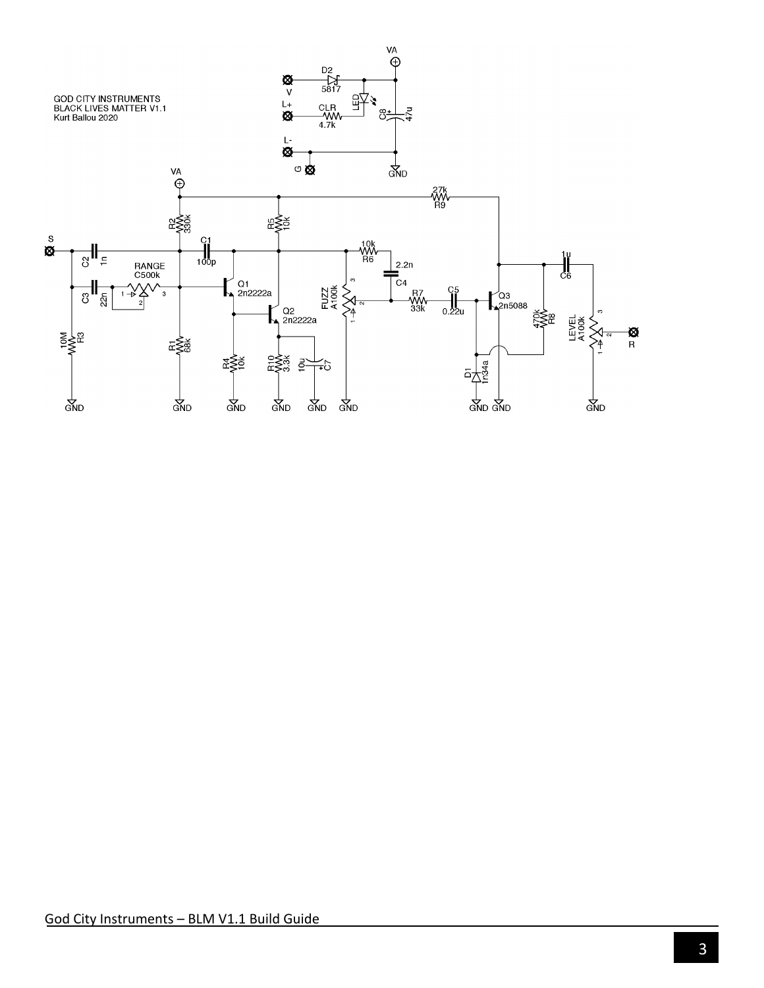